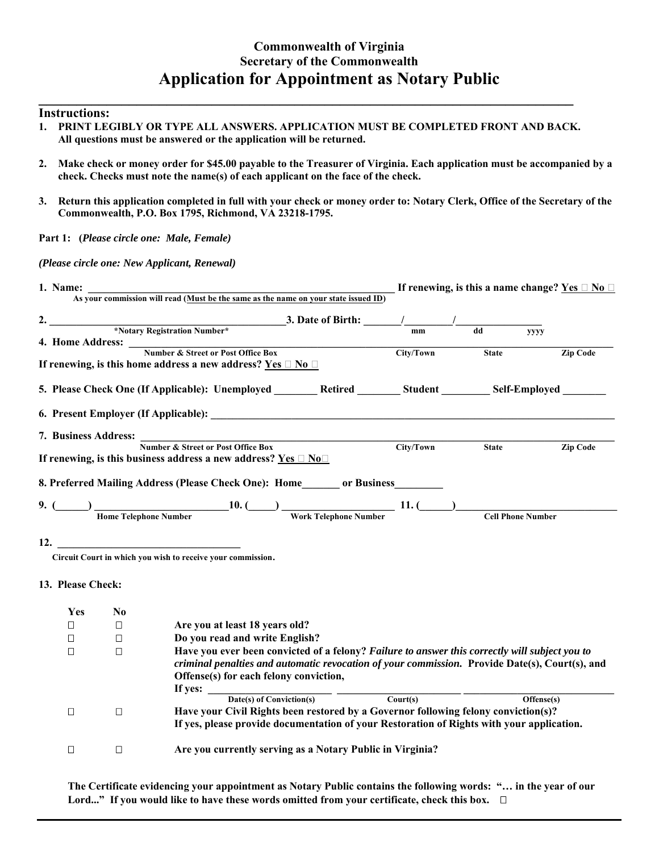## **Commonwealth of Virginia Secretary of the Commonwealth Application for Appointment as Notary Public**

## **Instructions:**

- **1. PRINT LEGIBLY OR TYPE ALL ANSWERS. APPLICATION MUST BE COMPLETED FRONT AND BACK. All questions must be answered or the application will be returned.**
- **2. Make check or money order for \$45.00 payable to the Treasurer of Virginia. Each application must be accompanied by a check. Checks must note the name(s) of each applicant on the face of the check.**
- **3. Return this application completed in full with your check or money order to: Notary Clerk, Office of the Secretary of the Commonwealth, P.O. Box 1795, Richmond, VA 23218-1795.**

**Part 1: (***Please circle one: Male, Female)* 

*(Please circle one: New Applicant, Renewal)*

| 1. Name:<br>1e:<br>As your commission will read ( <u>Must be the same as the name on your state issued ID</u> ) |        |                                                                                                                                          |  |           | If renewing, is this a name change? <u>Yes <math>\Box</math> No <math>\Box</math></u> |                 |  |
|-----------------------------------------------------------------------------------------------------------------|--------|------------------------------------------------------------------------------------------------------------------------------------------|--|-----------|---------------------------------------------------------------------------------------|-----------------|--|
|                                                                                                                 |        |                                                                                                                                          |  |           |                                                                                       |                 |  |
|                                                                                                                 |        |                                                                                                                                          |  |           | dd                                                                                    | <b>yyyy</b>     |  |
| 4. Home Address:                                                                                                |        |                                                                                                                                          |  |           |                                                                                       |                 |  |
|                                                                                                                 |        | Number & Street or Post Office Box                                                                                                       |  | City/Town | <b>State</b>                                                                          | <b>Zip Code</b> |  |
|                                                                                                                 |        | If renewing, is this home address a new address? <u>Yes</u> $\Box$ No $\Box$                                                             |  |           |                                                                                       |                 |  |
| 5. Please Check One (If Applicable): Unemployed Retired Student Self-Employed                                   |        |                                                                                                                                          |  |           |                                                                                       |                 |  |
|                                                                                                                 |        | 6. Present Employer (If Applicable):                                                                                                     |  |           |                                                                                       |                 |  |
| 7. Business Address:                                                                                            |        | <b>Number &amp; Street or Post Office Box</b>                                                                                            |  |           |                                                                                       |                 |  |
|                                                                                                                 |        |                                                                                                                                          |  | City/Town | <b>State</b>                                                                          | <b>Zip Code</b> |  |
|                                                                                                                 |        | If renewing, is this business address a new address? Yes $\Box$ No $\Box$                                                                |  |           |                                                                                       |                 |  |
|                                                                                                                 |        | 8. Preferred Mailing Address (Please Check One): Home or Business                                                                        |  |           |                                                                                       |                 |  |
| 9. (                                                                                                            |        |                                                                                                                                          |  |           |                                                                                       |                 |  |
|                                                                                                                 |        | $\frac{10.5 \text{ m}}{\text{Home Telephone Number}}$ 10. ( Work Telephone Number 11. ( Cell Phone N                                     |  |           | <b>Cell Phone Number</b>                                                              |                 |  |
|                                                                                                                 |        |                                                                                                                                          |  |           |                                                                                       |                 |  |
| 12.                                                                                                             |        |                                                                                                                                          |  |           |                                                                                       |                 |  |
|                                                                                                                 |        |                                                                                                                                          |  |           |                                                                                       |                 |  |
|                                                                                                                 |        | Circuit Court in which you wish to receive your commission.                                                                              |  |           |                                                                                       |                 |  |
| 13. Please Check:                                                                                               |        |                                                                                                                                          |  |           |                                                                                       |                 |  |
|                                                                                                                 |        |                                                                                                                                          |  |           |                                                                                       |                 |  |
| Yes                                                                                                             | No.    |                                                                                                                                          |  |           |                                                                                       |                 |  |
| $\Box$                                                                                                          | $\Box$ | Are you at least 18 years old?                                                                                                           |  |           |                                                                                       |                 |  |
| П                                                                                                               | П      | Do you read and write English?                                                                                                           |  |           |                                                                                       |                 |  |
| $\Box$                                                                                                          | $\Box$ | Have you ever been convicted of a felony? Failure to answer this correctly will subject you to                                           |  |           |                                                                                       |                 |  |
|                                                                                                                 |        | criminal penalties and automatic revocation of your commission. Provide Date(s), Court(s), and<br>Offense(s) for each felony conviction, |  |           |                                                                                       |                 |  |
|                                                                                                                 |        |                                                                                                                                          |  |           |                                                                                       |                 |  |
|                                                                                                                 |        | If yes: $\frac{ }{ \text{Date}(s) \text{ of Convection}(s) }$                                                                            |  | Court(s)  |                                                                                       | Offense(s)      |  |
| $\Box$                                                                                                          | $\Box$ | Have your Civil Rights been restored by a Governor following felony conviction(s)?                                                       |  |           |                                                                                       |                 |  |

**If yes, please provide documentation of your Restoration of Rights with your application.**

 **Are you currently serving as a Notary Public in Virginia?** 

**The Certificate evidencing your appointment as Notary Public contains the following words: "… in the year of our**  Lord..." If you would like to have these words omitted from your certificate, check this box. □